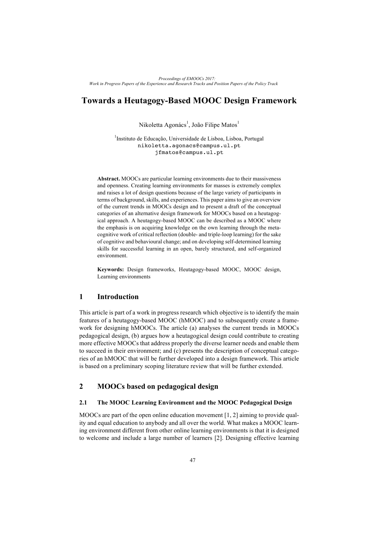# **Towards a Heutagogy-Based MOOC Design Framework**

Nikoletta Agonács<sup>1</sup>, João Filipe Matos<sup>1</sup>

<sup>1</sup>Instituto de Educação, Universidade de Lisboa, Lisboa, Portugal nikoletta.agonacs@campus.ul.pt jfmatos@campus.ul.pt

**Abstract.** MOOCs are particular learning environments due to their massiveness and openness. Creating learning environments for masses is extremely complex and raises a lot of design questions because of the large variety of participants in terms of background, skills, and experiences. This paper aims to give an overview of the current trends in MOOCs design and to present a draft of the conceptual categories of an alternative design framework for MOOCs based on a heutagogical approach. A heutagogy-based MOOC can be described as a MOOC where the emphasis is on acquiring knowledge on the own learning through the metacognitive work of critical reflection (double- and triple-loop learning) for the sake of cognitive and behavioural change; and on developing self-determined learning skills for successful learning in an open, barely structured, and self-organized environment.

**Keywords:** Design frameworks, Heutagogy-based MOOC, MOOC design, Learning environments

### **1 Introduction**

This article is part of a work in progress research which objective is to identify the main features of a heutagogy-based MOOC (hMOOC) and to subsequently create a framework for designing hMOOCs. The article (a) analyses the current trends in MOOCs pedagogical design, (b) argues how a heutagogical design could contribute to creating more effective MOOCs that address properly the diverse learner needs and enable them to succeed in their environment; and (c) presents the description of conceptual categories of an hMOOC that will be further developed into a design framework. This article is based on a preliminary scoping literature review that will be further extended.

## **2 MOOCs based on pedagogical design**

#### **2.1 The MOOC Learning Environment and the MOOC Pedagogical Design**

MOOCs are part of the open online education movement [1, 2] aiming to provide quality and equal education to anybody and all over the world. What makes a MOOC learning environment different from other online learning environments is that it is designed to welcome and include a large number of learners [2]. Designing effective learning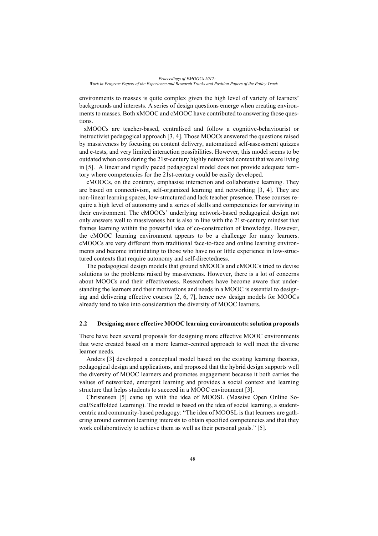environments to masses is quite complex given the high level of variety of learners' backgrounds and interests. A series of design questions emerge when creating environments to masses. Both xMOOC and cMOOC have contributed to answering those questions.

xMOOCs are teacher-based, centralised and follow a cognitive-behaviourist or instructivist pedagogical approach [3, 4]. Those MOOCs answered the questions raised by massiveness by focusing on content delivery, automatized self-assessment quizzes and e-tests, and very limited interaction possibilities. However, this model seems to be outdated when considering the 21st-century highly networked context that we are living in [5]. A linear and rigidly paced pedagogical model does not provide adequate territory where competencies for the 21st-century could be easily developed.

cMOOCs, on the contrary, emphasise interaction and collaborative learning. They are based on connectivism, self-organized learning and networking [3, 4]. They are non-linear learning spaces, low-structured and lack teacher presence. These courses require a high level of autonomy and a series of skills and competencies for surviving in their environment. The cMOOCs' underlying network-based pedagogical design not only answers well to massiveness but is also in line with the 21st-century mindset that frames learning within the powerful idea of co-construction of knowledge. However, the cMOOC learning environment appears to be a challenge for many learners. cMOOCs are very different from traditional face-to-face and online learning environments and become intimidating to those who have no or little experience in low-structured contexts that require autonomy and self-directedness.

The pedagogical design models that ground xMOOCs and cMOOCs tried to devise solutions to the problems raised by massiveness. However, there is a lot of concerns about MOOCs and their effectiveness. Researchers have become aware that understanding the learners and their motivations and needs in a MOOC is essential to designing and delivering effective courses [2, 6, 7], hence new design models for MOOCs already tend to take into consideration the diversity of MOOC learners.

#### **2.2 Designing more effective MOOC learning environments: solution proposals**

There have been several proposals for designing more effective MOOC environments that were created based on a more learner-centred approach to well meet the diverse learner needs.

Anders [3] developed a conceptual model based on the existing learning theories, pedagogical design and applications, and proposed that the hybrid design supports well the diversity of MOOC learners and promotes engagement because it both carries the values of networked, emergent learning and provides a social context and learning structure that helps students to succeed in a MOOC environment [3].

Christensen [5] came up with the idea of MOOSL (Massive Open Online Social/Scaffolded Learning). The model is based on the idea of social learning, a studentcentric and community-based pedagogy: "The idea of MOOSL is that learners are gathering around common learning interests to obtain specified competencies and that they work collaboratively to achieve them as well as their personal goals." [5].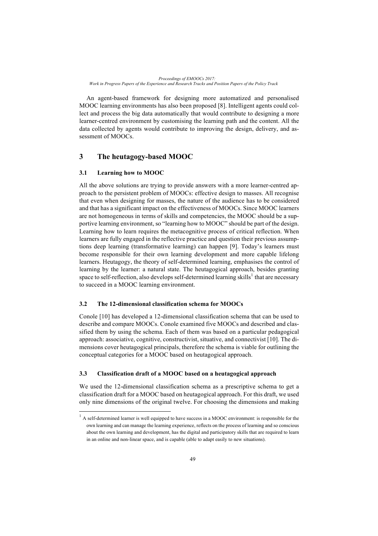*Proceedings of EMOOCs 2017: Work in Progress Papers of the Experience and Research Tracks and Position Papers of the Policy Track*

An agent-based framework for designing more automatized and personalised MOOC learning environments has also been proposed [8]. Intelligent agents could collect and process the big data automatically that would contribute to designing a more learner-centred environment by customising the learning path and the content. All the data collected by agents would contribute to improving the design, delivery, and assessment of MOOCs.

# **3 The heutagogy-based MOOC**

### **3.1 Learning how to MOOC**

All the above solutions are trying to provide answers with a more learner-centred approach to the persistent problem of MOOCs: effective design to masses. All recognise that even when designing for masses, the nature of the audience has to be considered and that has a significant impact on the effectiveness of MOOCs. Since MOOC learners are not homogeneous in terms of skills and competencies, the MOOC should be a supportive learning environment, so "learning how to MOOC" should be part of the design. Learning how to learn requires the metacognitive process of critical reflection. When learners are fully engaged in the reflective practice and question their previous assumptions deep learning (transformative learning) can happen [9]. Today's learners must become responsible for their own learning development and more capable lifelong learners. Heutagogy, the theory of self-determined learning, emphasises the control of learning by the learner: a natural state. The heutagogical approach, besides granting space to self-reflection, also develops self-determined learning skills<sup>1</sup> that are necessary to succeed in a MOOC learning environment.

#### **3.2 The 12-dimensional classification schema for MOOCs**

Conole [10] has developed a 12-dimensional classification schema that can be used to describe and compare MOOCs. Conole examined five MOOCs and described and classified them by using the schema. Each of them was based on a particular pedagogical approach: associative, cognitive, constructivist, situative, and connectivist [10]. The dimensions cover heutagogical principals, therefore the schema is viable for outlining the conceptual categories for a MOOC based on heutagogical approach.

### **3.3 Classification draft of a MOOC based on a heutagogical approach**

We used the 12-dimensional classification schema as a prescriptive schema to get a classification draft for a MOOC based on heutagogical approach. For this draft, we used only nine dimensions of the original twelve. For choosing the dimensions and making

 $<sup>1</sup>$  A self-determined learner is well equipped to have success in a MOOC environment: is responsible for the</sup> own learning and can manage the learning experience, reflects on the process of learning and so conscious about the own learning and development, has the digital and participatory skills that are required to learn in an online and non-linear space, and is capable (able to adapt easily to new situations).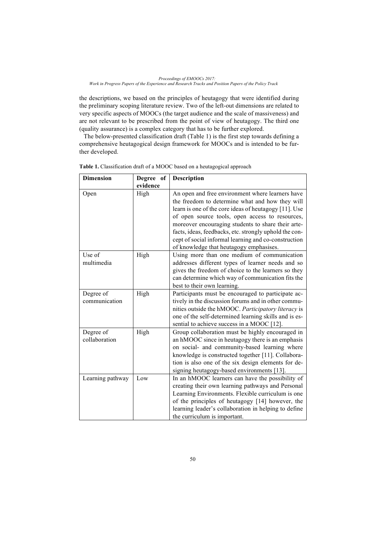the descriptions, we based on the principles of heutagogy that were identified during the preliminary scoping literature review. Two of the left-out dimensions are related to very specific aspects of MOOCs (the target audience and the scale of massiveness) and are not relevant to be prescribed from the point of view of heutagogy. The third one (quality assurance) is a complex category that has to be further explored.

The below-presented classification draft (Table 1) is the first step towards defining a comprehensive heutagogical design framework for MOOCs and is intended to be further developed.

| <b>Dimension</b>           | Degree of | Description                                                                                                                                                                                                                                                                                                                                                                                                                        |
|----------------------------|-----------|------------------------------------------------------------------------------------------------------------------------------------------------------------------------------------------------------------------------------------------------------------------------------------------------------------------------------------------------------------------------------------------------------------------------------------|
|                            | evidence  |                                                                                                                                                                                                                                                                                                                                                                                                                                    |
| Open                       | High      | An open and free environment where learners have<br>the freedom to determine what and how they will<br>learn is one of the core ideas of heutagogy [11]. Use<br>of open source tools, open access to resources,<br>moreover encouraging students to share their arte-<br>facts, ideas, feedbacks, etc. strongly uphold the con-<br>cept of social informal learning and co-construction<br>of knowledge that heutagogy emphasises. |
| Use of<br>multimedia       | High      | Using more than one medium of communication<br>addresses different types of learner needs and so<br>gives the freedom of choice to the learners so they<br>can determine which way of communication fits the<br>best to their own learning.                                                                                                                                                                                        |
| Degree of<br>communication | High      | Participants must be encouraged to participate ac-<br>tively in the discussion forums and in other commu-<br>nities outside the hMOOC. Participatory literacy is<br>one of the self-determined learning skills and is es-<br>sential to achieve success in a MOOC [12].                                                                                                                                                            |
| Degree of<br>collaboration | High      | Group collaboration must be highly encouraged in<br>an hMOOC since in heutagogy there is an emphasis<br>on social- and community-based learning where<br>knowledge is constructed together [11]. Collabora-<br>tion is also one of the six design elements for de-<br>signing heutagogy-based environments [13].                                                                                                                   |
| Learning pathway           | Low       | In an hMOOC learners can have the possibility of<br>creating their own learning pathways and Personal<br>Learning Environments. Flexible curriculum is one<br>of the principles of heutagogy [14] however, the<br>learning leader's collaboration in helping to define<br>the curriculum is important.                                                                                                                             |

**Table 1.** Classification draft of a MOOC based on a heutagogical approach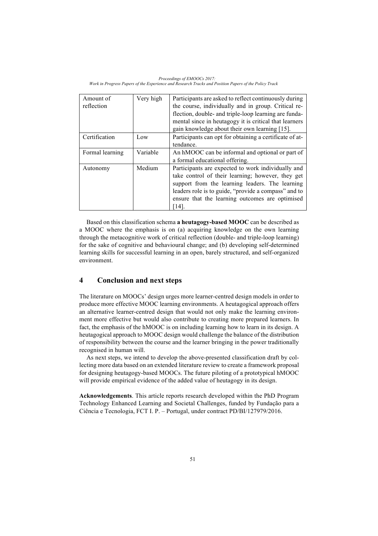*Proceedings of EMOOCs 2017: Work in Progress Papers of the Experience and Research Tracks and Position Papers of the Policy Track*

| Amount of<br>reflection | Very high | Participants are asked to reflect continuously during<br>the course, individually and in group. Critical re-<br>flection, double- and triple-loop learning are funda-<br>mental since in heutagogy it is critical that learners<br>gain knowledge about their own learning [15]. |
|-------------------------|-----------|----------------------------------------------------------------------------------------------------------------------------------------------------------------------------------------------------------------------------------------------------------------------------------|
| Certification           | Low       | Participants can opt for obtaining a certificate of at-<br>tendance.                                                                                                                                                                                                             |
| Formal learning         | Variable  | An hMOOC can be informal and optional or part of<br>a formal educational offering.                                                                                                                                                                                               |
| Autonomy                | Medium    | Participants are expected to work individually and<br>take control of their learning; however, they get<br>support from the learning leaders. The learning<br>leaders role is to guide, "provide a compass" and to<br>ensure that the learning outcomes are optimised<br>[14]    |

Based on this classification schema **a heutagogy-based MOOC** can be described as a MOOC where the emphasis is on (a) acquiring knowledge on the own learning through the metacognitive work of critical reflection (double- and triple-loop learning) for the sake of cognitive and behavioural change; and (b) developing self-determined learning skills for successful learning in an open, barely structured, and self-organized environment.

### **4 Conclusion and next steps**

The literature on MOOCs' design urges more learner-centred design models in order to produce more effective MOOC learning environments. A heutagogical approach offers an alternative learner-centred design that would not only make the learning environment more effective but would also contribute to creating more prepared learners. In fact, the emphasis of the hMOOC is on including learning how to learn in its design. A heutagogical approach to MOOC design would challenge the balance of the distribution of responsibility between the course and the learner bringing in the power traditionally recognised in human will.

As next steps, we intend to develop the above-presented classification draft by collecting more data based on an extended literature review to create a framework proposal for designing heutagogy-based MOOCs. The future piloting of a prototypical hMOOC will provide empirical evidence of the added value of heutagogy in its design.

**Acknowledgements**. This article reports research developed within the PhD Program Technology Enhanced Learning and Societal Challenges, funded by Fundação para a Ciência e Tecnologia, FCT I. P. – Portugal, under contract PD/BI/127979/2016.